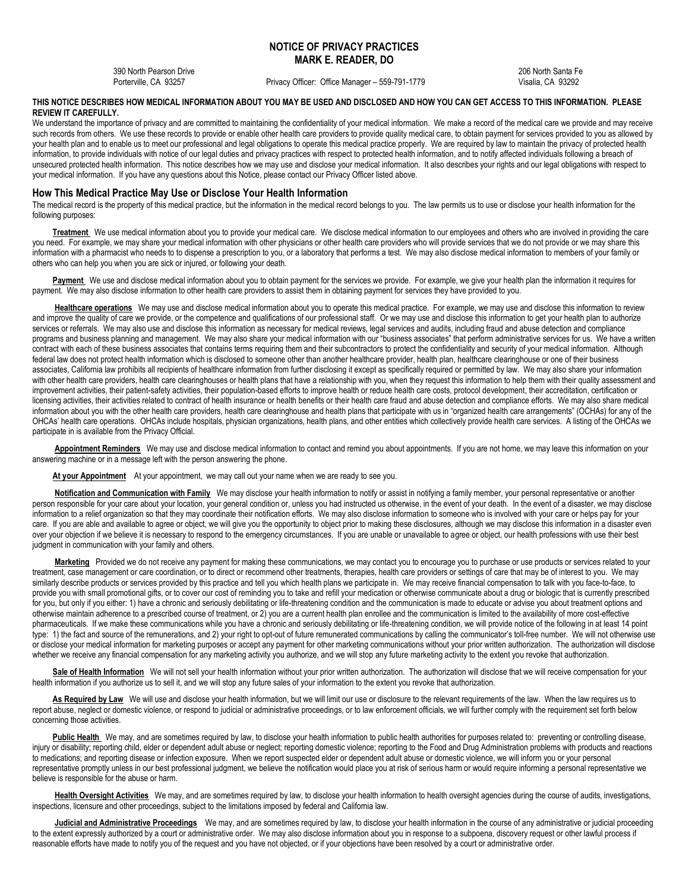# **NOTICE OF PRIVACY PRACTICES MARK E. READER, DO**

390 North Pearson Drive 206 North Santa Fe

Privacy Officer: Office Manager – 559-791-1779 Visalia, CA 93292

## **THIS NOTICE DESCRIBES HOW MEDICAL INFORMATION ABOUT YOU MAY BE USED AND DISCLOSED AND HOW YOU CAN GET ACCESS TO THIS INFORMATION. PLEASE REVIEW IT CAREFULLY.**

We understand the importance of privacy and are committed to maintaining the confidentiality of your medical information. We make a record of the medical care we provide and may receive such records from others. We use these records to provide or enable other health care providers to provide quality medical care, to obtain payment for services provided to you as allowed by your health plan and to enable us to meet our professional and legal obligations to operate this medical practice properly. We are required by law to maintain the privacy of protected health information, to provide individuals with notice of our legal duties and privacy practices with respect to protected health information, and to notify affected individuals following a breach of unsecured protected health information. This notice describes how we may use and disclose your medical information. It also describes your rights and our legal obligations with respect to your medical information. If you have any questions about this Notice, please contact our Privacy Officer listed above.

# **How This Medical Practice May Use or Disclose Your Health Information**

The medical record is the property of this medical practice, but the information in the medical record belongs to you. The law permits us to use or disclose your health information for the following purposes:

**Treatment** We use medical information about you to provide your medical care. We disclose medical information to our employees and others who are involved in providing the care you need. For example, we may share your medical information with other physicians or other health care providers who will provide services that we do not provide or we may share this information with a pharmacist who needs to to dispense a prescription to you, or a laboratory that performs a test. We may also disclose medical information to members of your family or others who can help you when you are sick or injured, or following your death.

Payment We use and disclose medical information about you to obtain payment for the services we provide. For example, we give your health plan the information it requires for payment. We may also disclose information to other health care providers to assist them in obtaining payment for services they have provided to you.

Healthcare operations We may use and disclose medical information about you to operate this medical practice. For example, we may use and disclose this information to review and improve the quality of care we provide, or the competence and qualifications of our professional staff. Or we may use and disclose this information to get your health plan to authorize services or referrals. We may also use and disclose this information as necessary for medical reviews, legal services and audits, including fraud and abuse detection and compliance programs and business planning and management. We may also share your medical information with our "business associates" that perform administrative services for us. We have a written contract with each of these business associates that contains terms requiring them and their subcontractors to protect the confidentiality and security of your medical information. Although federal law does not protect health information which is disclosed to someone other than another healthcare provider, health plan, healthcare clearinghouse or one of their business associates, California law prohibits all recipients of healthcare information from further disclosing it except as specifically required or permitted by law. We may also share your information with other health care providers, health care clearinghouses or health plans that have a relationship with you, when they request this information to help them with their quality assessment and improvement activities, their patient-safety activities, their population-based efforts to improve health or reduce health care costs, protocol development, their accreditation, certification or licensing activities, their activities related to contract of health insurance or health benefits or their health care fraud and abuse detection and compliance efforts. We may also share medical information about you with the other health care providers, health care clearinghouse and health plans that participate with us in "organized health care arrangements" (OCHAs) for any of the OHCAs' health care operations. OHCAs include hospitals, physician organizations, health plans, and other entities which collectively provide health care services. A listing of the OHCAs we participate in is available from the Privacy Official.

**Appointment Reminders** We may use and disclose medical information to contact and remind you about appointments. If you are not home, we may leave this information on your answering machine or in a message left with the person answering the phone.

At your Appointment At your appointment, we may call out your name when we are ready to see you.

**Notification and Communication with Family** We may disclose your health information to notify or assist in notifying a family member, your personal representative or another person responsible for your care about your location, your general condition or, unless you had instructed us otherwise, in the event of your death. In the event of a disaster, we may disclose information to a relief organization so that they may coordinate their notification efforts. We may also disclose information to someone who is involved with your care or helps pay for your care. If you are able and available to agree or object, we will give you the opportunity to object prior to making these disclosures, although we may disclose this information in a disaster even over your objection if we believe it is necessary to respond to the emergency circumstances. If you are unable or unavailable to agree or object, our health professions with use their best judgment in communication with your family and others.

**Marketing** Provided we do not receive any payment for making these communications, we may contact you to encourage you to purchase or use products or services related to your treatment, case management or care coordination, or to direct or recommend other treatments, therapies, health care providers or settings of care that may be of interest to you. We may similarly describe products or services provided by this practice and tell you which health plans we participate in. We may receive financial compensation to talk with you face-to-face, to provide you with small promotional gifts, or to cover our cost of reminding you to take and refill your medication or otherwise communicate about a drug or biologic that is currently prescribed for you, but only if you either: 1) have a chronic and seriously debilitating or life-threatening condition and the communication is made to educate or advise you about treatment options and otherwise maintain adherence to a prescribed course of treatment, or 2) you are a current health plan enrollee and the communication is limited to the availability of more cost-effective pharmaceuticals. If we make these communications while you have a chronic and seriously debilitating or life-threatening condition, we will provide notice of the following in at least 14 point type: 1) the fact and source of the remunerations, and 2) your right to opt-out of future remunerated communications by calling the communicator's toll-free number. We will not otherwise use or disclose your medical information for marketing purposes or accept any payment for other marketing communications without your prior written authorization. The authorization will disclose whether we receive any financial compensation for any marketing activity you authorize, and we will stop any future marketing activity to the extent you revoke that authorization.

Sale of Health Information We will not sell your health information without your prior written authorization. The authorization will disclose that we will receive compensation for your health information if you authorize us to sell it, and we will stop any future sales of your information to the extent you revoke that authorization.

As Required by Law We will use and disclose your health information, but we will limit our use or disclosure to the relevant requirements of the law. When the law requires us to report abuse, neglect or domestic violence, or respond to judicial or administrative proceedings, or to law enforcement officials, we will further comply with the requirement set forth below concerning those activities.

Public Health We may, and are sometimes required by law, to disclose your health information to public health authorities for purposes related to: preventing or controlling disease, injury or disability; reporting child, elder or dependent adult abuse or neglect; reporting domestic violence; reporting to the Food and Drug Administration problems with products and reactions to medications; and reporting disease or infection exposure. When we report suspected elder or dependent adult abuse or domestic violence, we will inform you or your personal representative promptly unless in our best professional judgment, we believe the notification would place you at risk of serious harm or would require informing a personal representative we believe is responsible for the abuse or harm.

**Health Oversight Activities** We may, and are sometimes required by law, to disclose your health information to health oversight agencies during the course of audits, investigations, inspections, licensure and other proceedings, subject to the limitations imposed by federal and California law.

**Judicial and Administrative Proceedings** We may, and are sometimes required by law, to disclose your health information in the course of any administrative or judicial proceeding to the extent expressly authorized by a court or administrative order. We may also disclose information about you in response to a subpoena, discovery request or other lawful process if reasonable efforts have made to notify you of the request and you have not objected, or if your objections have been resolved by a court or administrative order.